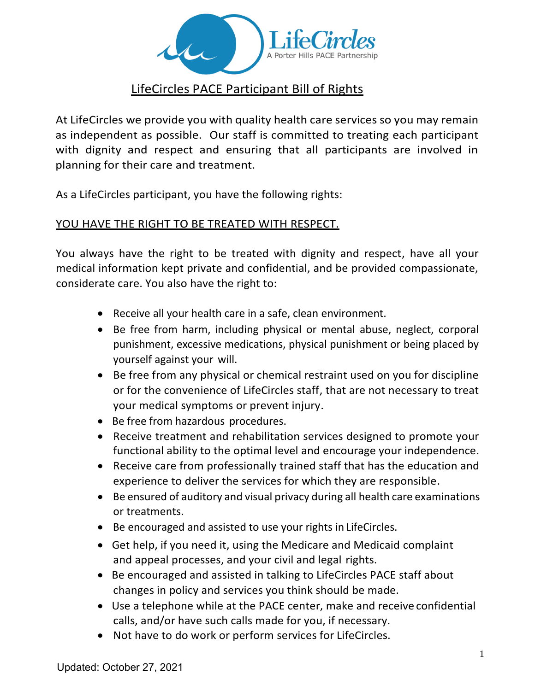

# LifeCircles PACE Participant Bill of Rights

At LifeCircles we provide you with quality health care services so you may remain as independent as possible. Our staff is committed to treating each participant with dignity and respect and ensuring that all participants are involved in planning for their care and treatment.

As a LifeCircles participant, you have the following rights:

#### YOU HAVE THE RIGHT TO BE TREATED WITH RESPECT.

You always have the right to be treated with dignity and respect, have all your medical information kept private and confidential, and be provided compassionate, considerate care. You also have the right to:

- Receive all your health care in a safe, clean environment.
- Be free from harm, including physical or mental abuse, neglect, corporal punishment, excessive medications, physical punishment or being placed by yourself against your will.
- Be free from any physical or chemical restraint used on you for discipline or for the convenience of LifeCircles staff, that are not necessary to treat your medical symptoms or prevent injury.
- Be free from hazardous procedures.
- Receive treatment and rehabilitation services designed to promote your functional ability to the optimal level and encourage your independence.
- Receive care from professionally trained staff that has the education and experience to deliver the services for which they are responsible.
- Be ensured of auditory and visual privacy during all health care examinations or treatments.
- Be encouraged and assisted to use your rights in LifeCircles.
- Get help, if you need it, using the Medicare and Medicaid complaint and appeal processes, and your civil and legal rights.
- Be encouraged and assisted in talking to LifeCircles PACE staff about changes in policy and services you think should be made.
- Use a telephone while at the PACE center, make and receive confidential calls, and/or have such calls made for you, if necessary.
- Not have to do work or perform services for LifeCircles.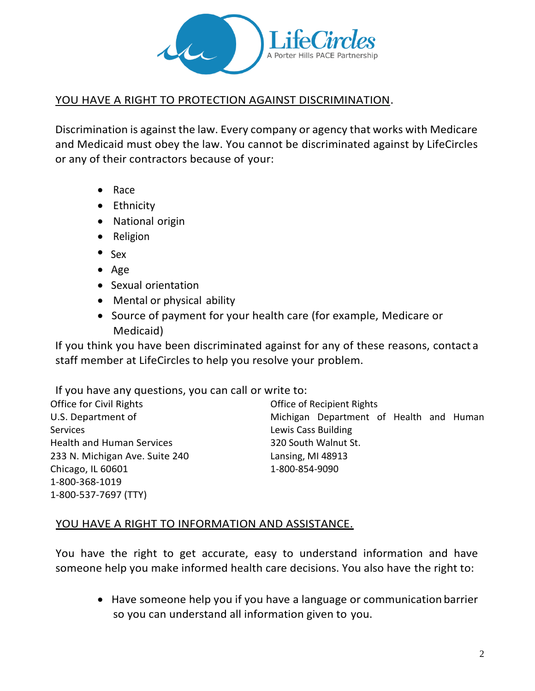

#### YOU HAVE A RIGHT TO PROTECTION AGAINST DISCRIMINATION.

Discrimination is against the law. Every company or agency that works with Medicare and Medicaid must obey the law. You cannot be discriminated against by LifeCircles or any of their contractors because of your:

- Race
- Ethnicity
- National origin
- Religion
- Sex
- Age
- Sexual orientation
- Mental or physical ability
- Source of payment for your health care (for example, Medicare or Medicaid)

If you think you have been discriminated against for any of these reasons, contact a staff member at LifeCircles to help you resolve your problem.

If you have any questions, you can call or write to:

Office for Civil Rights Office of Recipient Rights Services **Lewis Cass Building** Health and Human Services 320 South Walnut St. 233 N. Michigan Ave. Suite 240 Lansing, MI 48913 Chicago, IL 60601 1-800-854-9090 1-800-368-1019 1-800-537-7697 (TTY)

U.S. Department of Michigan Department of Health and Human

### YOU HAVE A RIGHT TO INFORMATION AND ASSISTANCE.

You have the right to get accurate, easy to understand information and have someone help you make informed health care decisions. You also have the right to:

• Have someone help you if you have a language or communication barrier so you can understand all information given to you.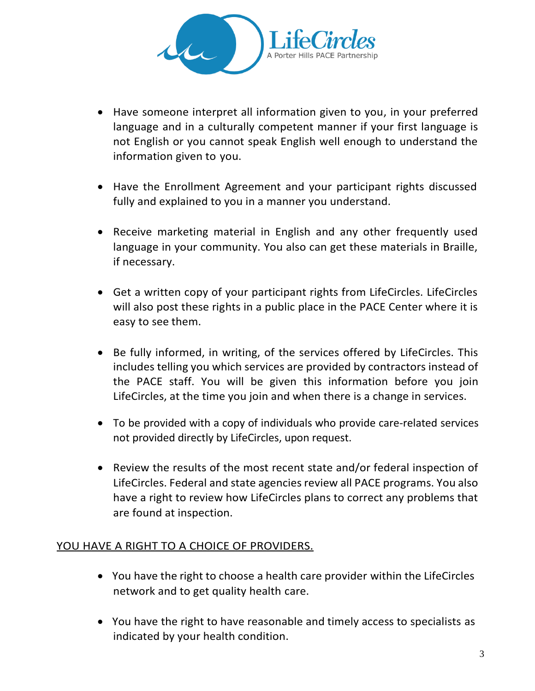

- Have someone interpret all information given to you, in your preferred language and in a culturally competent manner if your first language is not English or you cannot speak English well enough to understand the information given to you.
- Have the Enrollment Agreement and your participant rights discussed fully and explained to you in a manner you understand.
- Receive marketing material in English and any other frequently used language in your community. You also can get these materials in Braille, if necessary.
- Get a written copy of your participant rights from LifeCircles. LifeCircles will also post these rights in a public place in the PACE Center where it is easy to see them.
- Be fully informed, in writing, of the services offered by LifeCircles. This includes telling you which services are provided by contractors instead of the PACE staff. You will be given this information before you join LifeCircles, at the time you join and when there is a change in services.
- To be provided with a copy of individuals who provide care-related services not provided directly by LifeCircles, upon request.
- Review the results of the most recent state and/or federal inspection of LifeCircles. Federal and state agencies review all PACE programs. You also have a right to review how LifeCircles plans to correct any problems that are found at inspection.

#### YOU HAVE A RIGHT TO A CHOICE OF PROVIDERS.

- You have the right to choose a health care provider within the LifeCircles network and to get quality health care.
- You have the right to have reasonable and timely access to specialists as indicated by your health condition.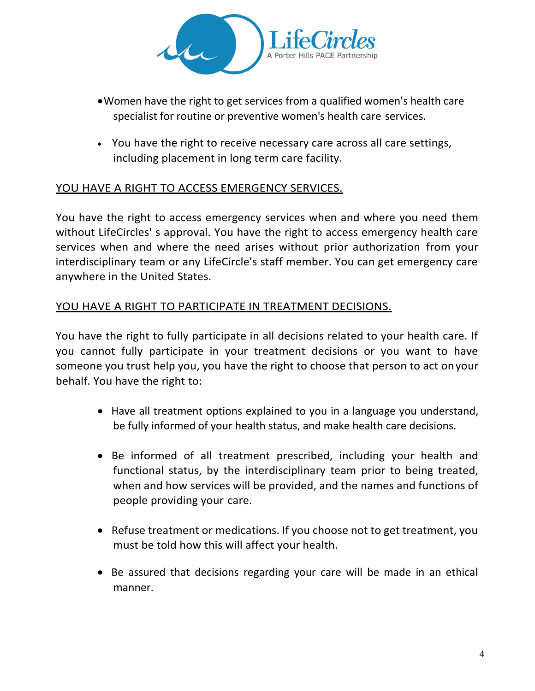

- •Women have the right to get services from a qualified women's health care specialist for routine or preventive women's health care services.
- You have the right to receive necessary care across all care settings, including placement in long term care facility.

# YOU HAVE A RIGHT TO ACCESS EMERGENCY SERVICES.

You have the right to access emergency services when and where you need them without LifeCircles' s approval. You have the right to access emergency health care services when and where the need arises without prior authorization from your interdisciplinary team or any LifeCircle's staff member. You can get emergency care anywhere in the United States.

### YOU HAVE A RIGHT TO PARTICIPATE IN TREATMENT DECISIONS.

You have the right to fully participate in all decisions related to your health care. If you cannot fully participate in your treatment decisions or you want to have someone you trust help you, you have the right to choose that person to act onyour behalf. You have the right to:

- Have all treatment options explained to you in a language you understand, be fully informed of your health status, and make health care decisions.
- Be informed of all treatment prescribed, including your health and functional status, by the interdisciplinary team prior to being treated, when and how services will be provided, and the names and functions of people providing your care.
- Refuse treatment or medications. If you choose not to get treatment, you must be told how this will affect your health.
- Be assured that decisions regarding your care will be made in an ethical manner.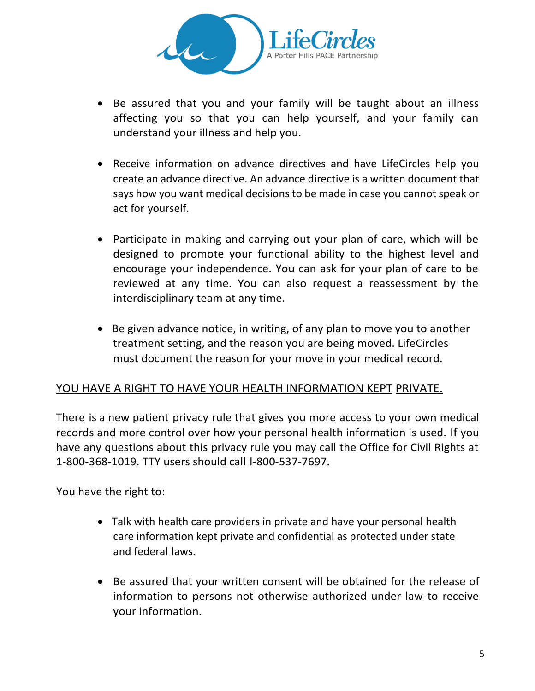

- Be assured that you and your family will be taught about an illness affecting you so that you can help yourself, and your family can understand your illness and help you.
- Receive information on advance directives and have LifeCircles help you create an advance directive. An advance directive is a written document that says how you want medical decisions to be made in case you cannot speak or act for yourself.
- Participate in making and carrying out your plan of care, which will be designed to promote your functional ability to the highest level and encourage your independence. You can ask for your plan of care to be reviewed at any time. You can also request a reassessment by the interdisciplinary team at any time.
- Be given advance notice, in writing, of any plan to move you to another treatment setting, and the reason you are being moved. LifeCircles must document the reason for your move in your medical record.

### YOU HAVE A RIGHT TO HAVE YOUR HEALTH INFORMATION KEPT PRIVATE.

There is a new patient privacy rule that gives you more access to your own medical records and more control over how your personal health information is used. If you have any questions about this privacy rule you may call the Office for Civil Rights at 1-800-368-1019. TTY users should call l-800-537-7697.

You have the right to:

- Talk with health care providers in private and have your personal health care information kept private and confidential as protected under state and federal laws.
- Be assured that your written consent will be obtained for the release of information to persons not otherwise authorized under law to receive your information.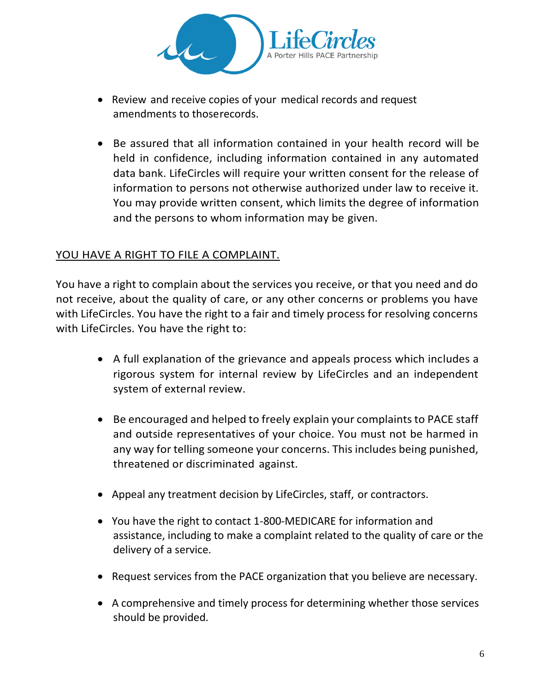

- Review and receive copies of your medical records and request amendments to thoserecords.
- Be assured that all information contained in your health record will be held in confidence, including information contained in any automated data bank. LifeCircles will require your written consent for the release of information to persons not otherwise authorized under law to receive it. You may provide written consent, which limits the degree of information and the persons to whom information may be given.

# YOU HAVE A RIGHT TO FILE A COMPLAINT.

You have a right to complain about the services you receive, or that you need and do not receive, about the quality of care, or any other concerns or problems you have with LifeCircles. You have the right to a fair and timely process for resolving concerns with LifeCircles. You have the right to:

- A full explanation of the grievance and appeals process which includes a rigorous system for internal review by LifeCircles and an independent system of external review.
- Be encouraged and helped to freely explain your complaints to PACE staff and outside representatives of your choice. You must not be harmed in any way for telling someone your concerns. This includes being punished, threatened or discriminated against.
- Appeal any treatment decision by LifeCircles, staff, or contractors.
- You have the right to contact 1-800-MEDICARE for information and assistance, including to make a complaint related to the quality of care or the delivery of a service.
- Request services from the PACE organization that you believe are necessary.
- A comprehensive and timely process for determining whether those services should be provided.